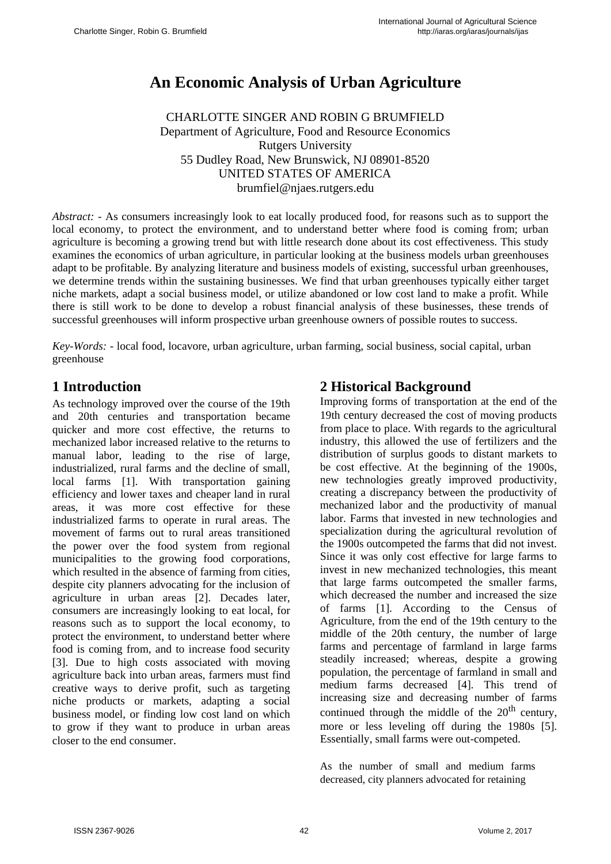# **An Economic Analysis of Urban Agriculture**

CHARLOTTE SINGER AND ROBIN G BRUMFIELD Department of Agriculture, Food and Resource Economics Rutgers University 55 Dudley Road, New Brunswick, NJ 08901-8520 UNITED STATES OF AMERICA brumfiel@njaes.rutgers.edu

*Abstract:* - As consumers increasingly look to eat locally produced food, for reasons such as to support the local economy, to protect the environment, and to understand better where food is coming from; urban agriculture is becoming a growing trend but with little research done about its cost effectiveness. This study examines the economics of urban agriculture, in particular looking at the business models urban greenhouses adapt to be profitable. By analyzing literature and business models of existing, successful urban greenhouses, we determine trends within the sustaining businesses. We find that urban greenhouses typically either target niche markets, adapt a social business model, or utilize abandoned or low cost land to make a profit. While there is still work to be done to develop a robust financial analysis of these businesses, these trends of successful greenhouses will inform prospective urban greenhouse owners of possible routes to success.

*Key-Words:* - local food, locavore, urban agriculture, urban farming, social business, social capital, urban greenhouse

# **1 Introduction**

As technology improved over the course of the 19th and 20th centuries and transportation became quicker and more cost effective, the returns to mechanized labor increased relative to the returns to manual labor, leading to the rise of large, industrialized, rural farms and the decline of small, local farms [1]. With transportation gaining efficiency and lower taxes and cheaper land in rural areas, it was more cost effective for these industrialized farms to operate in rural areas. The movement of farms out to rural areas transitioned the power over the food system from regional municipalities to the growing food corporations, which resulted in the absence of farming from cities, despite city planners advocating for the inclusion of agriculture in urban areas [2]. Decades later, consumers are increasingly looking to eat local, for reasons such as to support the local economy, to protect the environment, to understand better where food is coming from, and to increase food security [3]. Due to high costs associated with moving agriculture back into urban areas, farmers must find creative ways to derive profit, such as targeting niche products or markets, adapting a social business model, or finding low cost land on which to grow if they want to produce in urban areas closer to the end consumer.

# **2 Historical Background**

Improving forms of transportation at the end of the 19th century decreased the cost of moving products from place to place. With regards to the agricultural industry, this allowed the use of fertilizers and the distribution of surplus goods to distant markets to be cost effective. At the beginning of the 1900s, new technologies greatly improved productivity, creating a discrepancy between the productivity of mechanized labor and the productivity of manual labor. Farms that invested in new technologies and specialization during the agricultural revolution of the 1900s outcompeted the farms that did not invest. Since it was only cost effective for large farms to invest in new mechanized technologies, this meant that large farms outcompeted the smaller farms, which decreased the number and increased the size of farms [1]. According to the Census of Agriculture, from the end of the 19th century to the middle of the 20th century, the number of large farms and percentage of farmland in large farms steadily increased; whereas, despite a growing population, the percentage of farmland in small and medium farms decreased [4]. This trend of increasing size and decreasing number of farms continued through the middle of the  $20<sup>th</sup>$  century. more or less leveling off during the 1980s [5]. Essentially, small farms were out-competed.

As the number of small and medium farms decreased, city planners advocated for retaining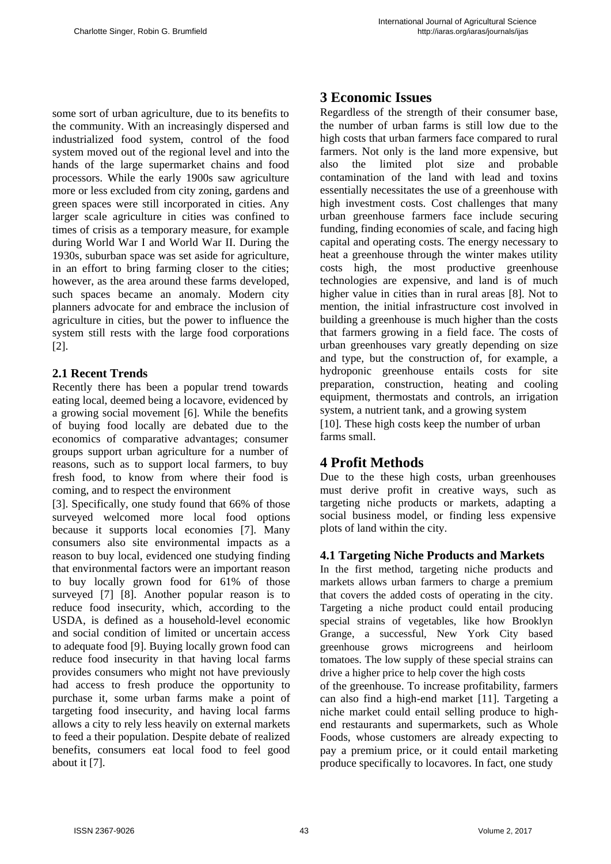some sort of urban agriculture, due to its benefits to the community. With an increasingly dispersed and industrialized food system, control of the food system moved out of the regional level and into the hands of the large supermarket chains and food processors. While the early 1900s saw agriculture more or less excluded from city zoning, gardens and green spaces were still incorporated in cities. Any larger scale agriculture in cities was confined to times of crisis as a temporary measure, for example during World War I and World War II. During the 1930s, suburban space was set aside for agriculture, in an effort to bring farming closer to the cities; however, as the area around these farms developed, such spaces became an anomaly. Modern city planners advocate for and embrace the inclusion of agriculture in cities, but the power to influence the system still rests with the large food corporations [2].

#### **2.1 Recent Trends**

Recently there has been a popular trend towards eating local, deemed being a locavore, evidenced by a growing social movement [6]. While the benefits of buying food locally are debated due to the economics of comparative advantages; consumer groups support urban agriculture for a number of reasons, such as to support local farmers, to buy fresh food, to know from where their food is coming, and to respect the environment

[3]. Specifically, one study found that 66% of those surveyed welcomed more local food options because it supports local economies [7]. Many consumers also site environmental impacts as a reason to buy local, evidenced one studying finding that environmental factors were an important reason to buy locally grown food for 61% of those surveyed [7] [8]. Another popular reason is to reduce food insecurity, which, according to the USDA, is defined as a household-level economic and social condition of limited or uncertain access to adequate food [9]. Buying locally grown food can reduce food insecurity in that having local farms provides consumers who might not have previously had access to fresh produce the opportunity to purchase it, some urban farms make a point of targeting food insecurity, and having local farms allows a city to rely less heavily on external markets to feed a their population. Despite debate of realized benefits, consumers eat local food to feel good about it [7].

## **3 Economic Issues**

Regardless of the strength of their consumer base, the number of urban farms is still low due to the high costs that urban farmers face compared to rural farmers. Not only is the land more expensive, but also the limited plot size and probable contamination of the land with lead and toxins essentially necessitates the use of a greenhouse with high investment costs. Cost challenges that many urban greenhouse farmers face include securing funding, finding economies of scale, and facing high capital and operating costs. The energy necessary to heat a greenhouse through the winter makes utility costs high, the most productive greenhouse technologies are expensive, and land is of much higher value in cities than in rural areas [8]. Not to mention, the initial infrastructure cost involved in building a greenhouse is much higher than the costs that farmers growing in a field face. The costs of urban greenhouses vary greatly depending on size and type, but the construction of, for example, a hydroponic greenhouse entails costs for site preparation, construction, heating and cooling equipment, thermostats and controls, an irrigation system, a nutrient tank, and a growing system

[10]. These high costs keep the number of urban farms small.

## **4 Profit Methods**

Due to the these high costs, urban greenhouses must derive profit in creative ways, such as targeting niche products or markets, adapting a social business model, or finding less expensive plots of land within the city.

#### **4.1 Targeting Niche Products and Markets**

In the first method, targeting niche products and markets allows urban farmers to charge a premium that covers the added costs of operating in the city. Targeting a niche product could entail producing special strains of vegetables, like how Brooklyn Grange, a successful, New York City based greenhouse grows microgreens and heirloom tomatoes. The low supply of these special strains can drive a higher price to help cover the high costs of the greenhouse. To increase profitability, farmers can also find a high-end market [11]. Targeting a niche market could entail selling produce to highend restaurants and supermarkets, such as Whole

Foods, whose customers are already expecting to pay a premium price, or it could entail marketing produce specifically to locavores. In fact, one study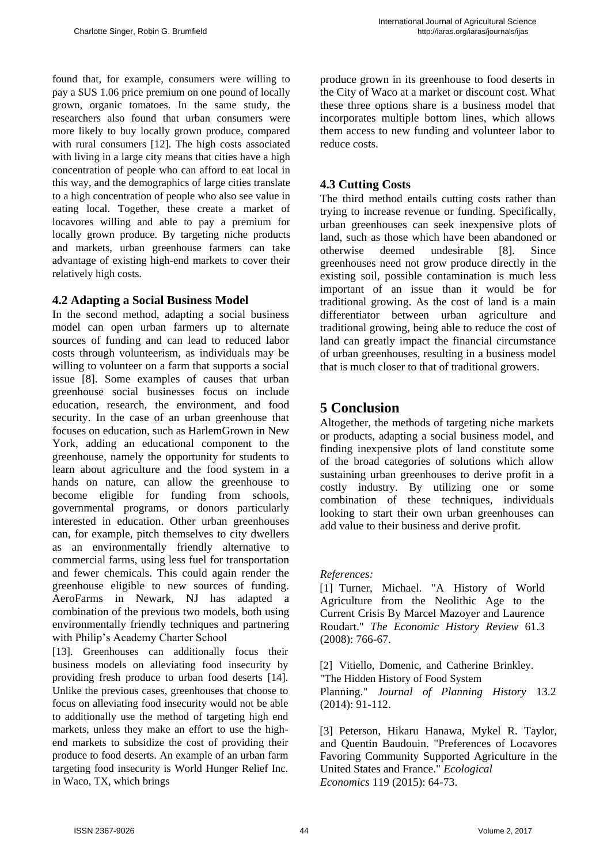found that, for example, consumers were willing to pay a \$US 1.06 price premium on one pound of locally grown, organic tomatoes. In the same study, the researchers also found that urban consumers were more likely to buy locally grown produce, compared with rural consumers [12]. The high costs associated with living in a large city means that cities have a high concentration of people who can afford to eat local in this way, and the demographics of large cities translate to a high concentration of people who also see value in eating local. Together, these create a market of locavores willing and able to pay a premium for locally grown produce. By targeting niche products and markets, urban greenhouse farmers can take advantage of existing high-end markets to cover their relatively high costs.

#### **4.2 Adapting a Social Business Model**

In the second method, adapting a social business model can open urban farmers up to alternate sources of funding and can lead to reduced labor costs through volunteerism, as individuals may be willing to volunteer on a farm that supports a social issue [8]. Some examples of causes that urban greenhouse social businesses focus on include education, research, the environment, and food security. In the case of an urban greenhouse that focuses on education, such as HarlemGrown in New York, adding an educational component to the greenhouse, namely the opportunity for students to learn about agriculture and the food system in a hands on nature, can allow the greenhouse to become eligible for funding from schools, governmental programs, or donors particularly interested in education. Other urban greenhouses can, for example, pitch themselves to city dwellers as an environmentally friendly alternative to commercial farms, using less fuel for transportation and fewer chemicals. This could again render the greenhouse eligible to new sources of funding. AeroFarms in Newark, NJ has adapted a combination of the previous two models, both using environmentally friendly techniques and partnering with Philip's Academy Charter School

[13]. Greenhouses can additionally focus their business models on alleviating food insecurity by providing fresh produce to urban food deserts [14]. Unlike the previous cases, greenhouses that choose to focus on alleviating food insecurity would not be able to additionally use the method of targeting high end markets, unless they make an effort to use the highend markets to subsidize the cost of providing their produce to food deserts. An example of an urban farm targeting food insecurity is World Hunger Relief Inc. in Waco, TX, which brings

produce grown in its greenhouse to food deserts in the City of Waco at a market or discount cost. What these three options share is a business model that incorporates multiple bottom lines, which allows them access to new funding and volunteer labor to reduce costs.

### **4.3 Cutting Costs**

The third method entails cutting costs rather than trying to increase revenue or funding. Specifically, urban greenhouses can seek inexpensive plots of land, such as those which have been abandoned or otherwise deemed undesirable [8]. Since greenhouses need not grow produce directly in the existing soil, possible contamination is much less important of an issue than it would be for traditional growing. As the cost of land is a main differentiator between urban agriculture and traditional growing, being able to reduce the cost of land can greatly impact the financial circumstance of urban greenhouses, resulting in a business model that is much closer to that of traditional growers.

# **5 Conclusion**

Altogether, the methods of targeting niche markets or products, adapting a social business model, and finding inexpensive plots of land constitute some of the broad categories of solutions which allow sustaining urban greenhouses to derive profit in a costly industry. By utilizing one or some combination of these techniques, individuals looking to start their own urban greenhouses can add value to their business and derive profit.

*References:*

[1] Turner, Michael. "A History of World Agriculture from the Neolithic Age to the Current Crisis By Marcel Mazoyer and Laurence Roudart." *The Economic History Review* 61.3 (2008): 766-67.

[2] Vitiello, Domenic, and Catherine Brinkley. "The Hidden History of Food System Planning." *Journal of Planning History* 13.2 (2014): 91-112.

[3] Peterson, Hikaru Hanawa, Mykel R. Taylor, and Quentin Baudouin. "Preferences of Locavores Favoring Community Supported Agriculture in the United States and France." *Ecological Economics* 119 (2015): 64-73.